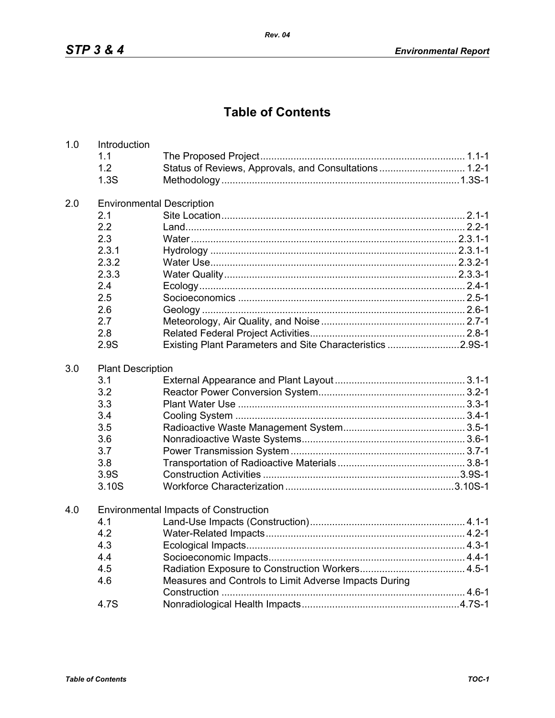## **Table of Contents**

| 1.0 | Introduction                     |                                                           |  |  |  |
|-----|----------------------------------|-----------------------------------------------------------|--|--|--|
|     | 1.1                              |                                                           |  |  |  |
|     | 1.2                              | Status of Reviews, Approvals, and Consultations 1.2-1     |  |  |  |
|     | 1.3S                             |                                                           |  |  |  |
| 2.0 | <b>Environmental Description</b> |                                                           |  |  |  |
|     | 2.1                              |                                                           |  |  |  |
|     | 2.2                              |                                                           |  |  |  |
|     | 2.3                              |                                                           |  |  |  |
|     | 2.3.1                            |                                                           |  |  |  |
|     | 2.3.2                            |                                                           |  |  |  |
|     | 2.3.3                            |                                                           |  |  |  |
|     | 2.4                              |                                                           |  |  |  |
|     | 2.5                              |                                                           |  |  |  |
|     | 2.6                              |                                                           |  |  |  |
|     | 2.7                              |                                                           |  |  |  |
|     | 2.8                              |                                                           |  |  |  |
|     | 2.9S                             | Existing Plant Parameters and Site Characteristics 2.9S-1 |  |  |  |
| 3.0 | <b>Plant Description</b>         |                                                           |  |  |  |
|     | 3.1                              |                                                           |  |  |  |
|     | 3.2                              |                                                           |  |  |  |
|     | 3.3                              |                                                           |  |  |  |
|     | 3.4                              |                                                           |  |  |  |
|     | 3.5                              |                                                           |  |  |  |
|     | 3.6                              |                                                           |  |  |  |
|     | 3.7                              |                                                           |  |  |  |
|     | 3.8                              |                                                           |  |  |  |
|     | 3.9S                             |                                                           |  |  |  |
|     | 3.10S                            |                                                           |  |  |  |
| 4.0 |                                  | <b>Environmental Impacts of Construction</b>              |  |  |  |
|     | 4.1                              |                                                           |  |  |  |
|     | 4.2                              |                                                           |  |  |  |
|     | 4.3                              |                                                           |  |  |  |
|     | 4.4                              |                                                           |  |  |  |
|     | 4.5                              |                                                           |  |  |  |
|     | 4.6                              | Measures and Controls to Limit Adverse Impacts During     |  |  |  |
|     |                                  |                                                           |  |  |  |
|     | 4.7S                             |                                                           |  |  |  |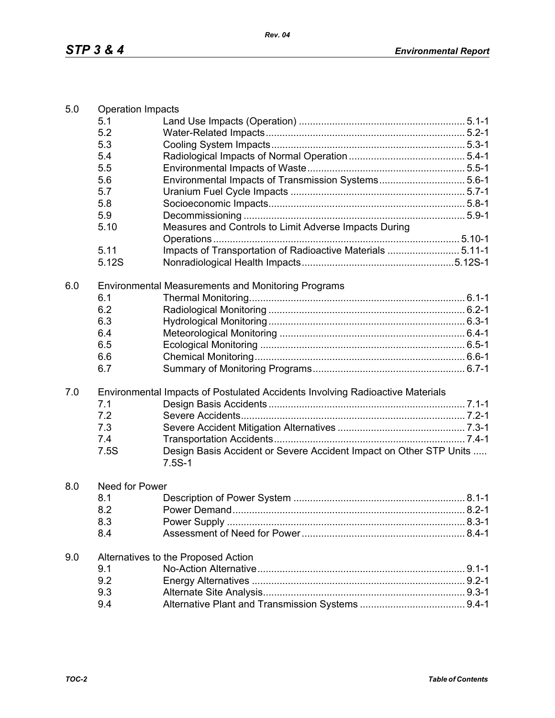|                                                                                      | <b>Operation Impacts</b> |  |  |  |
|--------------------------------------------------------------------------------------|--------------------------|--|--|--|
| 5.1                                                                                  |                          |  |  |  |
| 5.2                                                                                  |                          |  |  |  |
| 5.3                                                                                  |                          |  |  |  |
| 5.4                                                                                  |                          |  |  |  |
| 5.5                                                                                  |                          |  |  |  |
| 5.6<br>Environmental Impacts of Transmission Systems5.6-1                            |                          |  |  |  |
| 5.7                                                                                  |                          |  |  |  |
| 5.8                                                                                  |                          |  |  |  |
| 5.9                                                                                  |                          |  |  |  |
| Measures and Controls to Limit Adverse Impacts During<br>5.10                        |                          |  |  |  |
|                                                                                      |                          |  |  |  |
| 5.11<br>Impacts of Transportation of Radioactive Materials  5.11-1                   |                          |  |  |  |
| 5.12S                                                                                |                          |  |  |  |
| 6.0<br>Environmental Measurements and Monitoring Programs                            |                          |  |  |  |
| 6.1                                                                                  |                          |  |  |  |
| 6.2                                                                                  |                          |  |  |  |
| 6.3                                                                                  |                          |  |  |  |
| 6.4                                                                                  |                          |  |  |  |
| 6.5                                                                                  |                          |  |  |  |
| 6.6                                                                                  |                          |  |  |  |
| 6.7                                                                                  |                          |  |  |  |
| 7.0<br>Environmental Impacts of Postulated Accidents Involving Radioactive Materials |                          |  |  |  |
| 7.1                                                                                  |                          |  |  |  |
| 7.2                                                                                  |                          |  |  |  |
| 7.3                                                                                  |                          |  |  |  |
| 7.4                                                                                  |                          |  |  |  |
| Design Basis Accident or Severe Accident Impact on Other STP Units<br>7.5S           |                          |  |  |  |
| $7.5S-1$                                                                             |                          |  |  |  |
| Need for Power                                                                       |                          |  |  |  |
| 8.0<br>8.1                                                                           |                          |  |  |  |
| 8.2                                                                                  |                          |  |  |  |
| 8.3                                                                                  |                          |  |  |  |
| 8.4                                                                                  |                          |  |  |  |
| Alternatives to the Proposed Action                                                  |                          |  |  |  |
| 9.0<br>9.1                                                                           |                          |  |  |  |
| 9.2                                                                                  |                          |  |  |  |
| 9.3                                                                                  |                          |  |  |  |
| 9.4                                                                                  |                          |  |  |  |